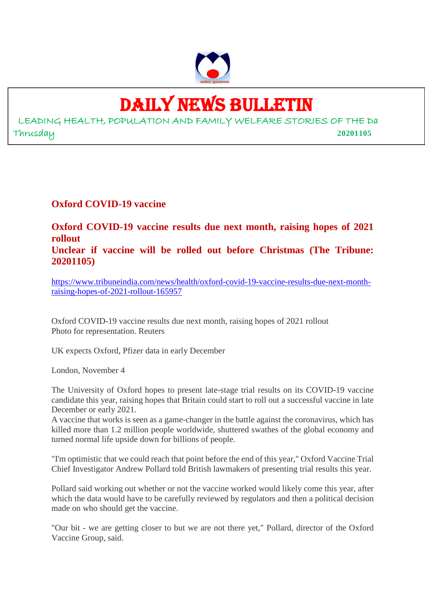

## DAILY NEWS BULLETIN

LEADING HEALTH, POPULATION AND FAMILY WELFARE STORIES OF THE Da Thrusday **20201105**

**Oxford COVID-19 vaccine**

**Oxford COVID-19 vaccine results due next month, raising hopes of 2021 rollout Unclear if vaccine will be rolled out before Christmas (The Tribune:**

https://www.tribuneindia.com/news/health/oxford-covid-19-vaccine-results-due-next-monthraising-hopes-of-2021-rollout-165957

Oxford COVID-19 vaccine results due next month, raising hopes of 2021 rollout Photo for representation. Reuters

UK expects Oxford, Pfizer data in early December

London, November 4

**20201105)**

The University of Oxford hopes to present late-stage trial results on its COVID-19 vaccine candidate this year, raising hopes that Britain could start to roll out a successful vaccine in late December or early 2021.

A vaccine that works is seen as a game-changer in the battle against the coronavirus, which has killed more than 1.2 million people worldwide, shuttered swathes of the global economy and turned normal life upside down for billions of people.

"I'm optimistic that we could reach that point before the end of this year," Oxford Vaccine Trial Chief Investigator Andrew Pollard told British lawmakers of presenting trial results this year.

Pollard said working out whether or not the vaccine worked would likely come this year, after which the data would have to be carefully reviewed by regulators and then a political decision made on who should get the vaccine.

"Our bit - we are getting closer to but we are not there yet," Pollard, director of the Oxford Vaccine Group, said.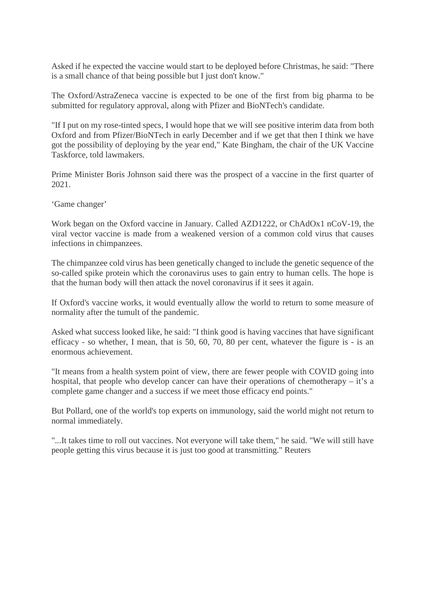Asked if he expected the vaccine would start to be deployed before Christmas, he said: "There is a small chance of that being possible but I just don't know."

The Oxford/AstraZeneca vaccine is expected to be one of the first from big pharma to be submitted for regulatory approval, along with Pfizer and BioNTech's candidate.

"If I put on my rose-tinted specs, I would hope that we will see positive interim data from both Oxford and from Pfizer/BioNTech in early December and if we get that then I think we have got the possibility of deploying by the year end," Kate Bingham, the chair of the UK Vaccine Taskforce, told lawmakers.

Prime Minister Boris Johnson said there was the prospect of a vaccine in the first quarter of 2021.

'Game changer'

Work began on the Oxford vaccine in January. Called AZD1222, or ChAdOx1 nCoV-19, the viral vector vaccine is made from a weakened version of a common cold virus that causes infections in chimpanzees.

The chimpanzee cold virus has been genetically changed to include the genetic sequence of the so-called spike protein which the coronavirus uses to gain entry to human cells. The hope is that the human body will then attack the novel coronavirus if it sees it again.

If Oxford's vaccine works, it would eventually allow the world to return to some measure of normality after the tumult of the pandemic.

Asked what success looked like, he said: "I think good is having vaccines that have significant efficacy - so whether, I mean, that is 50, 60, 70, 80 per cent, whatever the figure is - is an enormous achievement.

"It means from a health system point of view, there are fewer people with COVID going into hospital, that people who develop cancer can have their operations of chemotherapy – it's a complete game changer and a success if we meet those efficacy end points."

But Pollard, one of the world's top experts on immunology, said the world might not return to normal immediately.

"...It takes time to roll out vaccines. Not everyone will take them," he said. "We will still have people getting this virus because it is just too good at transmitting." Reuters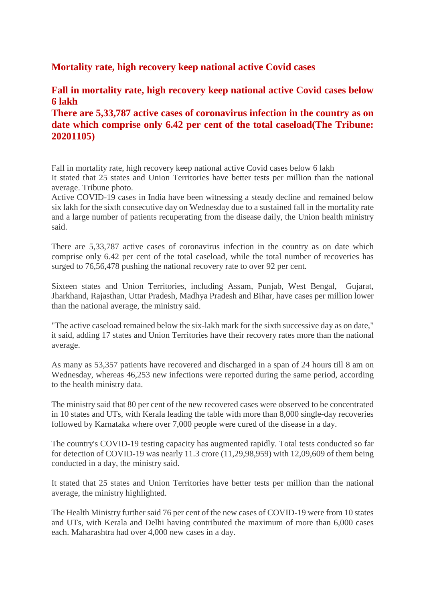#### **Mortality rate, high recovery keep national active Covid cases**

#### **Fall in mortality rate, high recovery keep national active Covid cases below 6 lakh**

#### **There are 5,33,787 active cases of coronavirus infection in the country as on date which comprise only 6.42 per cent of the total caseload(The Tribune: 20201105)**

Fall in mortality rate, high recovery keep national active Covid cases below 6 lakh It stated that 25 states and Union Territories have better tests per million than the national average. Tribune photo.

Active COVID-19 cases in India have been witnessing a steady decline and remained below six lakh for the sixth consecutive day on Wednesday due to a sustained fall in the mortality rate and a large number of patients recuperating from the disease daily, the Union health ministry said.

There are 5,33,787 active cases of coronavirus infection in the country as on date which comprise only 6.42 per cent of the total caseload, while the total number of recoveries has surged to 76,56,478 pushing the national recovery rate to over 92 per cent.

Sixteen states and Union Territories, including Assam, Punjab, West Bengal, Gujarat, Jharkhand, Rajasthan, Uttar Pradesh, Madhya Pradesh and Bihar, have cases per million lower than the national average, the ministry said.

"The active caseload remained below the six-lakh mark for the sixth successive day as on date," it said, adding 17 states and Union Territories have their recovery rates more than the national average.

As many as 53,357 patients have recovered and discharged in a span of 24 hours till 8 am on Wednesday, whereas 46,253 new infections were reported during the same period, according to the health ministry data.

The ministry said that 80 per cent of the new recovered cases were observed to be concentrated in 10 states and UTs, with Kerala leading the table with more than 8,000 single-day recoveries followed by Karnataka where over 7,000 people were cured of the disease in a day.

The country's COVID-19 testing capacity has augmented rapidly. Total tests conducted so far for detection of COVID-19 was nearly 11.3 crore (11,29,98,959) with 12,09,609 of them being conducted in a day, the ministry said.

It stated that 25 states and Union Territories have better tests per million than the national average, the ministry highlighted.

The Health Ministry further said 76 per cent of the new cases of COVID-19 were from 10 states and UTs, with Kerala and Delhi having contributed the maximum of more than 6,000 cases each. Maharashtra had over 4,000 new cases in a day.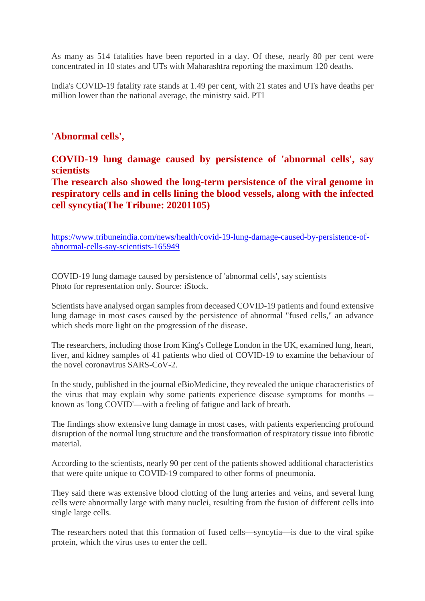As many as 514 fatalities have been reported in a day. Of these, nearly 80 per cent were concentrated in 10 states and UTs with Maharashtra reporting the maximum 120 deaths.

India's COVID-19 fatality rate stands at 1.49 per cent, with 21 states and UTs have deaths per million lower than the national average, the ministry said. PTI

#### **'Abnormal cells',**

**COVID-19 lung damage caused by persistence of 'abnormal cells', say scientists**

**The research also showed the long-term persistence of the viral genome in respiratory cells and in cells lining the blood vessels, along with the infected cell syncytia(The Tribune: 20201105)**

https://www.tribuneindia.com/news/health/covid-19-lung-damage-caused-by-persistence-ofabnormal-cells-say-scientists-165949

COVID-19 lung damage caused by persistence of 'abnormal cells', say scientists Photo for representation only. Source: iStock.

Scientists have analysed organ samples from deceased COVID-19 patients and found extensive lung damage in most cases caused by the persistence of abnormal "fused cells," an advance which sheds more light on the progression of the disease.

The researchers, including those from King's College London in the UK, examined lung, heart, liver, and kidney samples of 41 patients who died of COVID-19 to examine the behaviour of the novel coronavirus SARS-CoV-2.

In the study, published in the journal eBioMedicine, they revealed the unique characteristics of the virus that may explain why some patients experience disease symptoms for months - known as 'long COVID'—with a feeling of fatigue and lack of breath.

The findings show extensive lung damage in most cases, with patients experiencing profound disruption of the normal lung structure and the transformation of respiratory tissue into fibrotic material.

According to the scientists, nearly 90 per cent of the patients showed additional characteristics that were quite unique to COVID-19 compared to other forms of pneumonia.

They said there was extensive blood clotting of the lung arteries and veins, and several lung cells were abnormally large with many nuclei, resulting from the fusion of different cells into single large cells.

The researchers noted that this formation of fused cells—syncytia—is due to the viral spike protein, which the virus uses to enter the cell.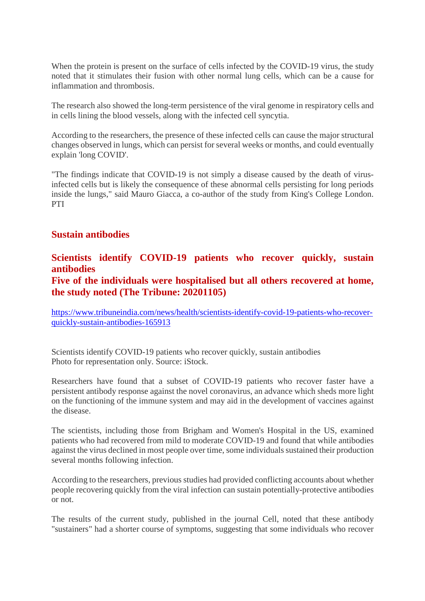When the protein is present on the surface of cells infected by the COVID-19 virus, the study noted that it stimulates their fusion with other normal lung cells, which can be a cause for inflammation and thrombosis.

The research also showed the long-term persistence of the viral genome in respiratory cells and in cells lining the blood vessels, along with the infected cell syncytia.

According to the researchers, the presence of these infected cells can cause the major structural changes observed in lungs, which can persist for several weeks or months, and could eventually explain 'long COVID'.

"The findings indicate that COVID-19 is not simply a disease caused by the death of virusinfected cells but is likely the consequence of these abnormal cells persisting for long periods inside the lungs," said Mauro Giacca, a co-author of the study from King's College London. PTI

#### **Sustain antibodies**

**Scientists identify COVID-19 patients who recover quickly, sustain antibodies Five of the individuals were hospitalised but all others recovered at home, the study noted (The Tribune: 20201105)**

https://www.tribuneindia.com/news/health/scientists-identify-covid-19-patients-who-recoverquickly-sustain-antibodies-165913

Scientists identify COVID-19 patients who recover quickly, sustain antibodies Photo for representation only. Source: iStock.

Researchers have found that a subset of COVID-19 patients who recover faster have a persistent antibody response against the novel coronavirus, an advance which sheds more light on the functioning of the immune system and may aid in the development of vaccines against the disease.

The scientists, including those from Brigham and Women's Hospital in the US, examined patients who had recovered from mild to moderate COVID-19 and found that while antibodies against the virus declined in most people over time, some individuals sustained their production several months following infection.

According to the researchers, previous studies had provided conflicting accounts about whether people recovering quickly from the viral infection can sustain potentially-protective antibodies or not.

The results of the current study, published in the journal Cell, noted that these antibody "sustainers" had a shorter course of symptoms, suggesting that some individuals who recover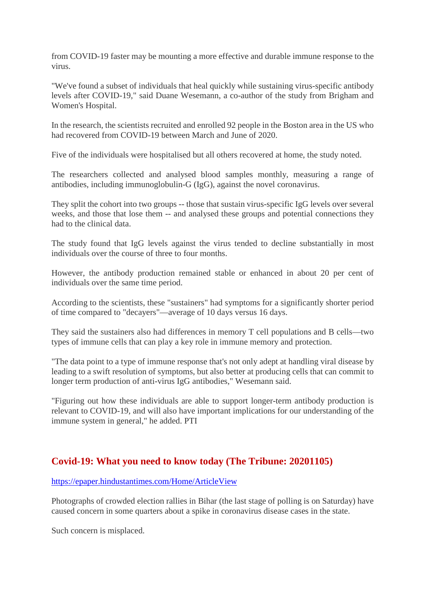from COVID-19 faster may be mounting a more effective and durable immune response to the virus.

"We've found a subset of individuals that heal quickly while sustaining virus-specific antibody levels after COVID-19," said Duane Wesemann, a co-author of the study from Brigham and Women's Hospital.

In the research, the scientists recruited and enrolled 92 people in the Boston area in the US who had recovered from COVID-19 between March and June of 2020.

Five of the individuals were hospitalised but all others recovered at home, the study noted.

The researchers collected and analysed blood samples monthly, measuring a range of antibodies, including immunoglobulin-G (IgG), against the novel coronavirus.

They split the cohort into two groups -- those that sustain virus-specific IgG levels over several weeks, and those that lose them -- and analysed these groups and potential connections they had to the clinical data.

The study found that IgG levels against the virus tended to decline substantially in most individuals over the course of three to four months.

However, the antibody production remained stable or enhanced in about 20 per cent of individuals over the same time period.

According to the scientists, these "sustainers" had symptoms for a significantly shorter period of time compared to "decayers"—average of 10 days versus 16 days.

They said the sustainers also had differences in memory T cell populations and B cells—two types of immune cells that can play a key role in immune memory and protection.

"The data point to a type of immune response that's not only adept at handling viral disease by leading to a swift resolution of symptoms, but also better at producing cells that can commit to longer term production of anti-virus IgG antibodies," Wesemann said.

"Figuring out how these individuals are able to support longer-term antibody production is relevant to COVID-19, and will also have important implications for our understanding of the immune system in general," he added. PTI

#### **Covid-19: What you need to know today (The Tribune: 20201105)**

https://epaper.hindustantimes.com/Home/ArticleView

Photographs of crowded election rallies in Bihar (the last stage of polling is on Saturday) have caused concern in some quarters about a spike in coronavirus disease cases in the state.

Such concern is misplaced.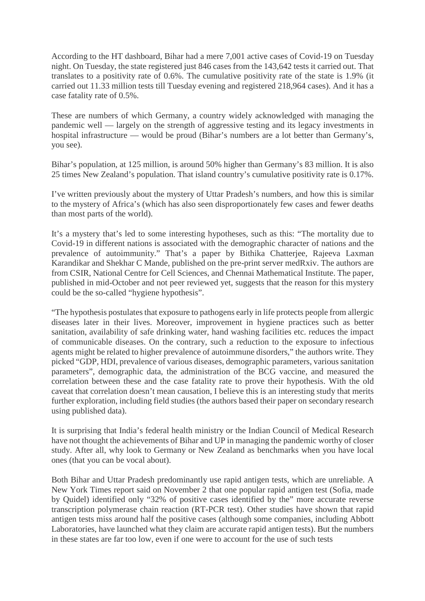According to the HT dashboard, Bihar had a mere 7,001 active cases of Covid-19 on Tuesday night. On Tuesday, the state registered just 846 cases from the 143,642 tests it carried out. That translates to a positivity rate of 0.6%. The cumulative positivity rate of the state is 1.9% (it carried out 11.33 million tests till Tuesday evening and registered 218,964 cases). And it has a case fatality rate of 0.5%.

These are numbers of which Germany, a country widely acknowledged with managing the pandemic well — largely on the strength of aggressive testing and its legacy investments in hospital infrastructure — would be proud (Bihar's numbers are a lot better than Germany's, you see).

Bihar's population, at 125 million, is around 50% higher than Germany's 83 million. It is also 25 times New Zealand's population. That island country's cumulative positivity rate is 0.17%.

I've written previously about the mystery of Uttar Pradesh's numbers, and how this is similar to the mystery of Africa's (which has also seen disproportionately few cases and fewer deaths than most parts of the world).

It's a mystery that's led to some interesting hypotheses, such as this: "The mortality due to Covid-19 in different nations is associated with the demographic character of nations and the prevalence of autoimmunity." That's a paper by Bithika Chatterjee, Rajeeva Laxman Karandikar and Shekhar C Mande, published on the pre-print server medRxiv. The authors are from CSIR, National Centre for Cell Sciences, and Chennai Mathematical Institute. The paper, published in mid-October and not peer reviewed yet, suggests that the reason for this mystery could be the so-called "hygiene hypothesis".

"The hypothesis postulates that exposure to pathogens early in life protects people from allergic diseases later in their lives. Moreover, improvement in hygiene practices such as better sanitation, availability of safe drinking water, hand washing facilities etc. reduces the impact of communicable diseases. On the contrary, such a reduction to the exposure to infectious agents might be related to higher prevalence of autoimmune disorders," the authors write. They picked "GDP, HDI, prevalence of various diseases, demographic parameters, various sanitation parameters", demographic data, the administration of the BCG vaccine, and measured the correlation between these and the case fatality rate to prove their hypothesis. With the old caveat that correlation doesn't mean causation, I believe this is an interesting study that merits further exploration, including field studies (the authors based their paper on secondary research using published data).

It is surprising that India's federal health ministry or the Indian Council of Medical Research have not thought the achievements of Bihar and UP in managing the pandemic worthy of closer study. After all, why look to Germany or New Zealand as benchmarks when you have local ones (that you can be vocal about).

Both Bihar and Uttar Pradesh predominantly use rapid antigen tests, which are unreliable. A New York Times report said on November 2 that one popular rapid antigen test (Sofia, made by Quidel) identified only "32% of positive cases identified by the" more accurate reverse transcription polymerase chain reaction (RT-PCR test). Other studies have shown that rapid antigen tests miss around half the positive cases (although some companies, including Abbott Laboratories, have launched what they claim are accurate rapid antigen tests). But the numbers in these states are far too low, even if one were to account for the use of such tests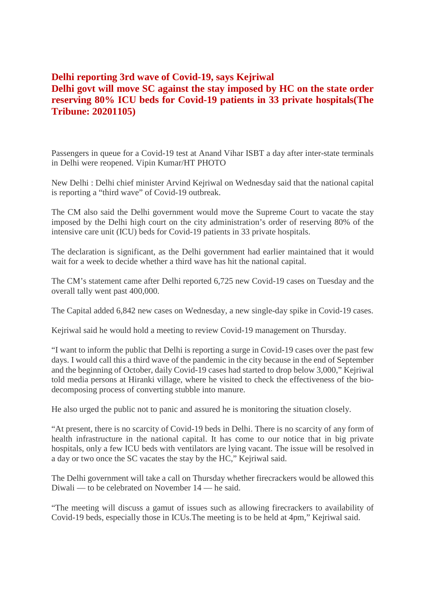#### **Delhi reporting 3rd wave of Covid-19, says Kejriwal Delhi govt will move SC against the stay imposed by HC on the state order reserving 80% ICU beds for Covid-19 patients in 33 private hospitals(The Tribune: 20201105)**

Passengers in queue for a Covid-19 test at Anand Vihar ISBT a day after inter-state terminals in Delhi were reopened. Vipin Kumar/HT PHOTO

New Delhi : Delhi chief minister Arvind Kejriwal on Wednesday said that the national capital is reporting a "third wave" of Covid-19 outbreak.

The CM also said the Delhi government would move the Supreme Court to vacate the stay imposed by the Delhi high court on the city administration's order of reserving 80% of the intensive care unit (ICU) beds for Covid-19 patients in 33 private hospitals.

The declaration is significant, as the Delhi government had earlier maintained that it would wait for a week to decide whether a third wave has hit the national capital.

The CM's statement came after Delhi reported 6,725 new Covid-19 cases on Tuesday and the overall tally went past 400,000.

The Capital added 6,842 new cases on Wednesday, a new single-day spike in Covid-19 cases.

Kejriwal said he would hold a meeting to review Covid-19 management on Thursday.

"I want to inform the public that Delhi is reporting a surge in Covid-19 cases over the past few days. I would call this a third wave of the pandemic in the city because in the end of September and the beginning of October, daily Covid-19 cases had started to drop below 3,000," Kejriwal told media persons at Hiranki village, where he visited to check the effectiveness of the biodecomposing process of converting stubble into manure.

He also urged the public not to panic and assured he is monitoring the situation closely.

"At present, there is no scarcity of Covid-19 beds in Delhi. There is no scarcity of any form of health infrastructure in the national capital. It has come to our notice that in big private hospitals, only a few ICU beds with ventilators are lying vacant. The issue will be resolved in a day or two once the SC vacates the stay by the HC," Kejriwal said.

The Delhi government will take a call on Thursday whether firecrackers would be allowed this Diwali — to be celebrated on November 14 — he said.

"The meeting will discuss a gamut of issues such as allowing firecrackers to availability of Covid-19 beds, especially those in ICUs.The meeting is to be held at 4pm," Kejriwal said.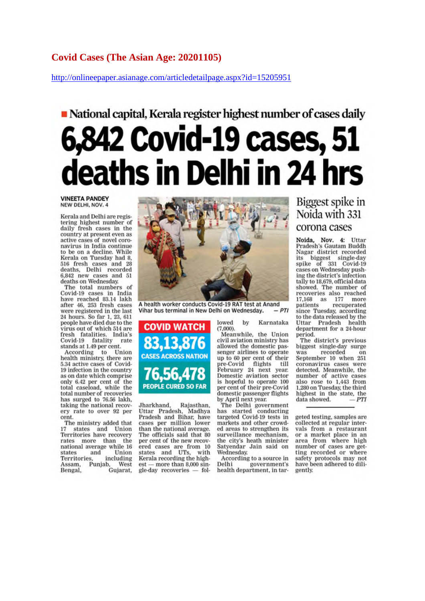#### **Covid Cases (The Asian Age: 20201105)**

http://onlineepaper.asianage.com/articledetailpage.aspx?id=15205951

## • National capital, Kerala register highest number of cases daily 6,842 Covid-19 cases, 51 deaths in Delhi in 24 hrs

#### **VINEETA PANDEY** NEW DELHI, NOV. 4

Kerala and Delhi are registering highest number of daily fresh cases in the country at present even as active cases of novel coronavirus in India continue to be on a decline. While Kerala on Tuesday had 8, 516 fresh cases and 28 deaths, Delhi recorded 6,842 new cases and 51 deaths on Wednesday.

The total numbers of Covid-19 cases in India<br>have reached 83.14 lakh after 46, 253 fresh cases were registered in the last 24 hours. So far 1, 23, 611 people have died due to the virus out of which 514 are thus out of which one are<br>fresh fatalities. India's<br>Covid-19 fatality rate stands at 1.49 per cent.

According to Union<br>health ministry, there are 5.34 active cases of Covid-19 infection in the country as on date which comprise only 6.42 per cent of the<br>total caseload, while the<br>total number of recoveries has surged to 76.56 lakh, taking the national recovery rate to over 92 per cent.

The ministry added that 17 states and Union<br>Territories have recovery rates more than the<br>national average while 16 Union states and Territories, including Punjab, West Assam, Gujarat, Bengal.



A health worker conducts Covid-19 RAT test at Anand Vihar bus terminal in New Delhi on Wednesday.  $- PT$ 

**COVID WATCH** 

3.13.87

**CASES ACROSS NATION** 

56,47

Rajasthan,

**PEOPLE CURED SO FAR** 

Uttar Pradesh, Madhva

Pradesh and Bihar, have

cases per million lower

than the national average.

The officials said that 80

per cent of the new recov-

ered cases are from 10<br>states and UTs, with

Kerala recording the high-

est - more than 8,000 sin-

gle-day recoveries - fol-

**Jharkhand** 

lowed by Karnataka  $(7.000).$ 

Meanwhile, the Union civil aviation ministry has allowed the domestic passenger airlines to operate singler animies to oper cent of their<br>pre-Covid flights till<br>February 24 next year.<br>Domestic aviation sector is hopeful to operate 100 per cent of their pre-Covid domestic passenger flights

by April next year.<br>The Delhi government<br>has started conducting targeted Covid-19 tests in markets and other crowded areas to strengthen its surveillance mechanism. the city's heath minister Satyendar Jain said on **Wednesday** 

According to a source in Delhi government's health department, in tar-

#### Biggest spike in Noida with 331 corona cases

Noida, Nov. 4: Uttar Pradesh's Gautam Buddh Nagar district recorded its biggest single-day<br>spike of 331 Covid-19<br>cases on Wednesday pushing the district's infection tally to 18,679, official data<br>showed. The number of recoveries also reached<br>17,168 as 177 more<br>patients recuperated since Tuesday, according to the data released by the Uttar Pradesh health department for a 24-hour period.

The district's previous biggest single-day surge recorded was on September 10 when 251 coronavirus cases were detected. Meanwhile, the number of active cases also rose to 1,443 from 1.280 on Tuesday, the third highest in the state, the data showed.  $-PTI$ 

geted testing, samples are collected at regular intervals from a restaurant or a market place in an area from where high number of cases are getting recorded or where safety protocols may not have been adhered to diligently.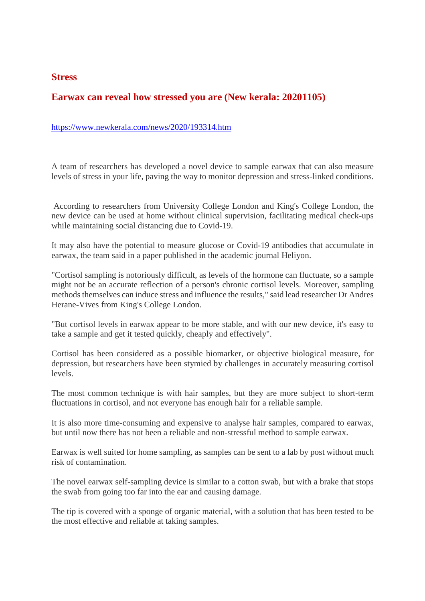#### **Stress**

#### **Earwax can reveal how stressed you are (New kerala: 20201105)**

#### https://www.newkerala.com/news/2020/193314.htm

A team of researchers has developed a novel device to sample earwax that can also measure levels of stress in your life, paving the way to monitor depression and stress-linked conditions.

According to researchers from University College London and King's College London, the new device can be used at home without clinical supervision, facilitating medical check-ups while maintaining social distancing due to Covid-19.

It may also have the potential to measure glucose or Covid-19 antibodies that accumulate in earwax, the team said in a paper published in the academic journal Heliyon.

"Cortisol sampling is notoriously difficult, as levels of the hormone can fluctuate, so a sample might not be an accurate reflection of a person's chronic cortisol levels. Moreover, sampling methods themselves can induce stress and influence the results," said lead researcher Dr Andres Herane-Vives from King's College London.

"But cortisol levels in earwax appear to be more stable, and with our new device, it's easy to take a sample and get it tested quickly, cheaply and effectively".

Cortisol has been considered as a possible biomarker, or objective biological measure, for depression, but researchers have been stymied by challenges in accurately measuring cortisol levels.

The most common technique is with hair samples, but they are more subject to short-term fluctuations in cortisol, and not everyone has enough hair for a reliable sample.

It is also more time-consuming and expensive to analyse hair samples, compared to earwax, but until now there has not been a reliable and non-stressful method to sample earwax.

Earwax is well suited for home sampling, as samples can be sent to a lab by post without much risk of contamination.

The novel earwax self-sampling device is similar to a cotton swab, but with a brake that stops the swab from going too far into the ear and causing damage.

The tip is covered with a sponge of organic material, with a solution that has been tested to be the most effective and reliable at taking samples.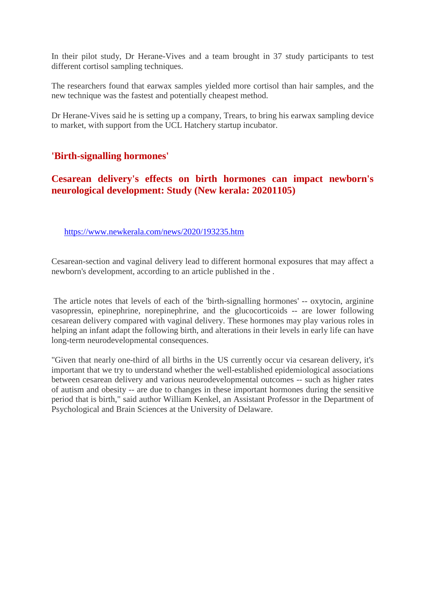In their pilot study, Dr Herane-Vives and a team brought in 37 study participants to test different cortisol sampling techniques.

The researchers found that earwax samples yielded more cortisol than hair samples, and the new technique was the fastest and potentially cheapest method.

Dr Herane-Vives said he is setting up a company, Trears, to bring his earwax sampling device to market, with support from the UCL Hatchery startup incubator.

#### **'Birth-signalling hormones'**

#### **Cesarean delivery's effects on birth hormones can impact newborn's neurological development: Study (New kerala: 20201105)**

https://www.newkerala.com/news/2020/193235.htm

Cesarean-section and vaginal delivery lead to different hormonal exposures that may affect a newborn's development, according to an article published in the .

The article notes that levels of each of the 'birth-signalling hormones' -- oxytocin, arginine vasopressin, epinephrine, norepinephrine, and the glucocorticoids -- are lower following cesarean delivery compared with vaginal delivery. These hormones may play various roles in helping an infant adapt the following birth, and alterations in their levels in early life can have long-term neurodevelopmental consequences.

"Given that nearly one-third of all births in the US currently occur via cesarean delivery, it's important that we try to understand whether the well-established epidemiological associations between cesarean delivery and various neurodevelopmental outcomes -- such as higher rates of autism and obesity -- are due to changes in these important hormones during the sensitive period that is birth," said author William Kenkel, an Assistant Professor in the Department of Psychological and Brain Sciences at the University of Delaware.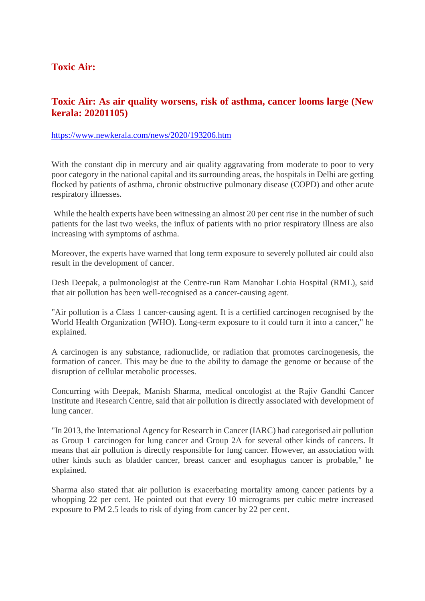#### **Toxic Air:**

#### **Toxic Air: As air quality worsens, risk of asthma, cancer looms large (New kerala: 20201105)**

#### https://www.newkerala.com/news/2020/193206.htm

With the constant dip in mercury and air quality aggravating from moderate to poor to very poor category in the national capital and its surrounding areas, the hospitals in Delhi are getting flocked by patients of asthma, chronic obstructive pulmonary disease (COPD) and other acute respiratory illnesses.

While the health experts have been witnessing an almost 20 per cent rise in the number of such patients for the last two weeks, the influx of patients with no prior respiratory illness are also increasing with symptoms of asthma.

Moreover, the experts have warned that long term exposure to severely polluted air could also result in the development of cancer.

Desh Deepak, a pulmonologist at the Centre-run Ram Manohar Lohia Hospital (RML), said that air pollution has been well-recognised as a cancer-causing agent.

"Air pollution is a Class 1 cancer-causing agent. It is a certified carcinogen recognised by the World Health Organization (WHO). Long-term exposure to it could turn it into a cancer," he explained.

A carcinogen is any substance, radionuclide, or radiation that promotes carcinogenesis, the formation of cancer. This may be due to the ability to damage the genome or because of the disruption of cellular metabolic processes.

Concurring with Deepak, Manish Sharma, medical oncologist at the Rajiv Gandhi Cancer Institute and Research Centre, said that air pollution is directly associated with development of lung cancer.

"In 2013, the International Agency for Research in Cancer (IARC) had categorised air pollution as Group 1 carcinogen for lung cancer and Group 2A for several other kinds of cancers. It means that air pollution is directly responsible for lung cancer. However, an association with other kinds such as bladder cancer, breast cancer and esophagus cancer is probable," he explained.

Sharma also stated that air pollution is exacerbating mortality among cancer patients by a whopping 22 per cent. He pointed out that every 10 micrograms per cubic metre increased exposure to PM 2.5 leads to risk of dying from cancer by 22 per cent.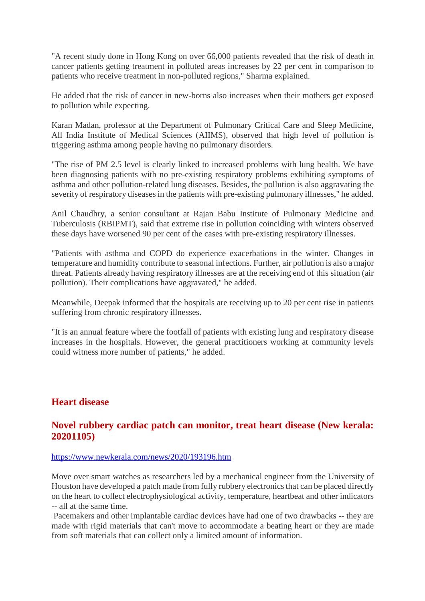"A recent study done in Hong Kong on over 66,000 patients revealed that the risk of death in cancer patients getting treatment in polluted areas increases by 22 per cent in comparison to patients who receive treatment in non-polluted regions," Sharma explained.

He added that the risk of cancer in new-borns also increases when their mothers get exposed to pollution while expecting.

Karan Madan, professor at the Department of Pulmonary Critical Care and Sleep Medicine, All India Institute of Medical Sciences (AIIMS), observed that high level of pollution is triggering asthma among people having no pulmonary disorders.

"The rise of PM 2.5 level is clearly linked to increased problems with lung health. We have been diagnosing patients with no pre-existing respiratory problems exhibiting symptoms of asthma and other pollution-related lung diseases. Besides, the pollution is also aggravating the severity of respiratory diseases in the patients with pre-existing pulmonary illnesses," he added.

Anil Chaudhry, a senior consultant at Rajan Babu Institute of Pulmonary Medicine and Tuberculosis (RBIPMT), said that extreme rise in pollution coinciding with winters observed these days have worsened 90 per cent of the cases with pre-existing respiratory illnesses.

"Patients with asthma and COPD do experience exacerbations in the winter. Changes in temperature and humidity contribute to seasonal infections. Further, air pollution is also a major threat. Patients already having respiratory illnesses are at the receiving end of this situation (air pollution). Their complications have aggravated," he added.

Meanwhile, Deepak informed that the hospitals are receiving up to 20 per cent rise in patients suffering from chronic respiratory illnesses.

"It is an annual feature where the footfall of patients with existing lung and respiratory disease increases in the hospitals. However, the general practitioners working at community levels could witness more number of patients," he added.

#### **Heart disease**

#### **Novel rubbery cardiac patch can monitor, treat heart disease (New kerala: 20201105)**

#### https://www.newkerala.com/news/2020/193196.htm

Move over smart watches as researchers led by a mechanical engineer from the University of Houston have developed a patch made from fully rubbery electronics that can be placed directly on the heart to collect electrophysiological activity, temperature, heartbeat and other indicators -- all at the same time.

Pacemakers and other implantable cardiac devices have had one of two drawbacks -- they are made with rigid materials that can't move to accommodate a beating heart or they are made from soft materials that can collect only a limited amount of information.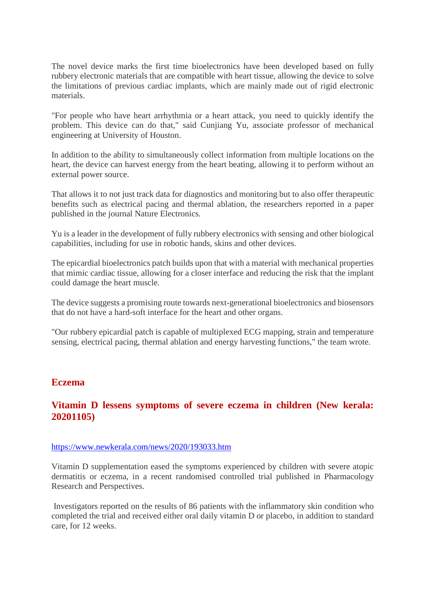The novel device marks the first time bioelectronics have been developed based on fully rubbery electronic materials that are compatible with heart tissue, allowing the device to solve the limitations of previous cardiac implants, which are mainly made out of rigid electronic materials.

"For people who have heart arrhythmia or a heart attack, you need to quickly identify the problem. This device can do that," said Cunjiang Yu, associate professor of mechanical engineering at University of Houston.

In addition to the ability to simultaneously collect information from multiple locations on the heart, the device can harvest energy from the heart beating, allowing it to perform without an external power source.

That allows it to not just track data for diagnostics and monitoring but to also offer therapeutic benefits such as electrical pacing and thermal ablation, the researchers reported in a paper published in the journal Nature Electronics.

Yu is a leader in the development of fully rubbery electronics with sensing and other biological capabilities, including for use in robotic hands, skins and other devices.

The epicardial bioelectronics patch builds upon that with a material with mechanical properties that mimic cardiac tissue, allowing for a closer interface and reducing the risk that the implant could damage the heart muscle.

The device suggests a promising route towards next-generational bioelectronics and biosensors that do not have a hard-soft interface for the heart and other organs.

"Our rubbery epicardial patch is capable of multiplexed ECG mapping, strain and temperature sensing, electrical pacing, thermal ablation and energy harvesting functions," the team wrote.

#### **Eczema**

#### **Vitamin D lessens symptoms of severe eczema in children (New kerala: 20201105)**

#### https://www.newkerala.com/news/2020/193033.htm

Vitamin D supplementation eased the symptoms experienced by children with severe atopic dermatitis or eczema, in a recent randomised controlled trial published in Pharmacology Research and Perspectives.

Investigators reported on the results of 86 patients with the inflammatory skin condition who completed the trial and received either oral daily vitamin D or placebo, in addition to standard care, for 12 weeks.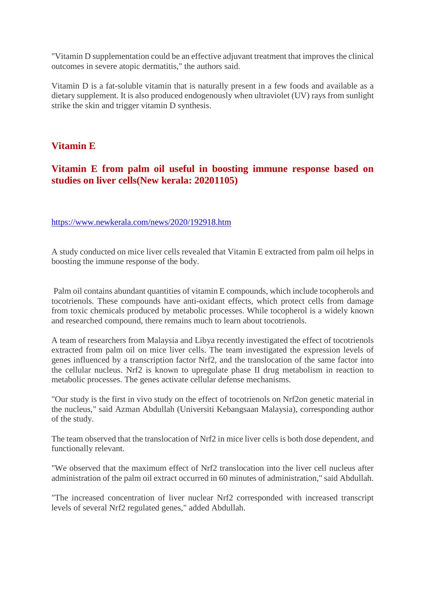"Vitamin D supplementation could be an effective adjuvant treatment that improves the clinical outcomes in severe atopic dermatitis," the authors said.

Vitamin D is a fat-soluble vitamin that is naturally present in a few foods and available as a dietary supplement. It is also produced endogenously when ultraviolet (UV) rays from sunlight strike the skin and trigger vitamin D synthesis.

#### **Vitamin E**

#### **Vitamin E from palm oil useful in boosting immune response based on studies on liver cells(New kerala: 20201105)**

https://www.newkerala.com/news/2020/192918.htm

A study conducted on mice liver cells revealed that Vitamin E extracted from palm oil helps in boosting the immune response of the body.

Palm oil contains abundant quantities of vitamin E compounds, which include tocopherols and tocotrienols. These compounds have anti-oxidant effects, which protect cells from damage from toxic chemicals produced by metabolic processes. While tocopherol is a widely known and researched compound, there remains much to learn about tocotrienols.

A team of researchers from Malaysia and Libya recently investigated the effect of tocotrienols extracted from palm oil on mice liver cells. The team investigated the expression levels of genes influenced by a transcription factor Nrf2, and the translocation of the same factor into the cellular nucleus. Nrf2 is known to upregulate phase II drug metabolism in reaction to metabolic processes. The genes activate cellular defense mechanisms.

"Our study is the first in vivo study on the effect of tocotrienols on Nrf2on genetic material in the nucleus," said Azman Abdullah (Universiti Kebangsaan Malaysia), corresponding author of the study.

The team observed that the translocation of Nrf2 in mice liver cells is both dose dependent, and functionally relevant.

"We observed that the maximum effect of Nrf2 translocation into the liver cell nucleus after administration of the palm oil extract occurred in 60 minutes of administration," said Abdullah.

"The increased concentration of liver nuclear Nrf2 corresponded with increased transcript levels of several Nrf2 regulated genes," added Abdullah.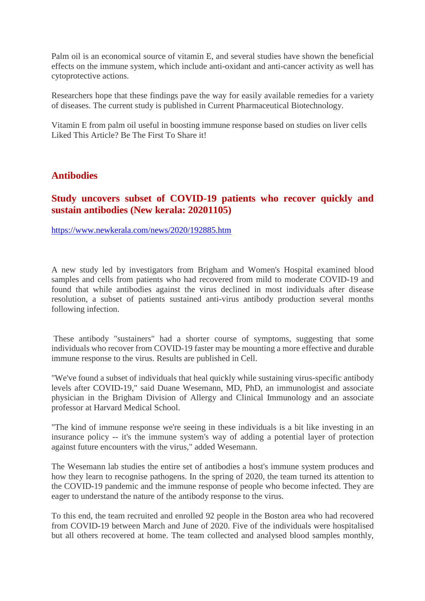Palm oil is an economical source of vitamin E, and several studies have shown the beneficial effects on the immune system, which include anti-oxidant and anti-cancer activity as well has cytoprotective actions.

Researchers hope that these findings pave the way for easily available remedies for a variety of diseases. The current study is published in Current Pharmaceutical Biotechnology.

Vitamin E from palm oil useful in boosting immune response based on studies on liver cells Liked This Article? Be The First To Share it!

#### **Antibodies**

#### **Study uncovers subset of COVID-19 patients who recover quickly and sustain antibodies (New kerala: 20201105)**

https://www.newkerala.com/news/2020/192885.htm

A new study led by investigators from Brigham and Women's Hospital examined blood samples and cells from patients who had recovered from mild to moderate COVID-19 and found that while antibodies against the virus declined in most individuals after disease resolution, a subset of patients sustained anti-virus antibody production several months following infection.

These antibody "sustainers" had a shorter course of symptoms, suggesting that some individuals who recover from COVID-19 faster may be mounting a more effective and durable immune response to the virus. Results are published in Cell.

"We've found a subset of individuals that heal quickly while sustaining virus-specific antibody levels after COVID-19," said Duane Wesemann, MD, PhD, an immunologist and associate physician in the Brigham Division of Allergy and Clinical Immunology and an associate professor at Harvard Medical School.

"The kind of immune response we're seeing in these individuals is a bit like investing in an insurance policy -- it's the immune system's way of adding a potential layer of protection against future encounters with the virus," added Wesemann.

The Wesemann lab studies the entire set of antibodies a host's immune system produces and how they learn to recognise pathogens. In the spring of 2020, the team turned its attention to the COVID-19 pandemic and the immune response of people who become infected. They are eager to understand the nature of the antibody response to the virus.

To this end, the team recruited and enrolled 92 people in the Boston area who had recovered from COVID-19 between March and June of 2020. Five of the individuals were hospitalised but all others recovered at home. The team collected and analysed blood samples monthly,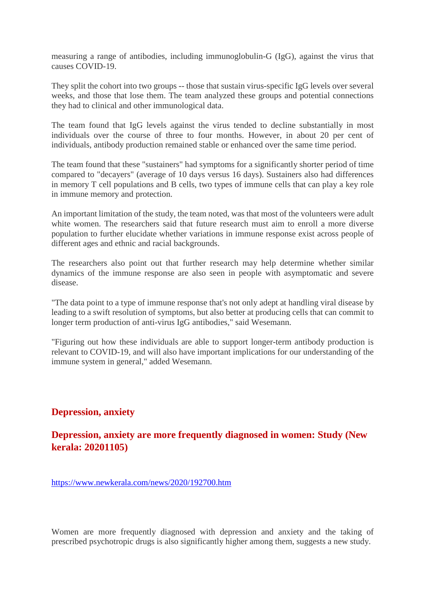measuring a range of antibodies, including immunoglobulin-G (IgG), against the virus that causes COVID-19.

They split the cohort into two groups -- those that sustain virus-specific IgG levels over several weeks, and those that lose them. The team analyzed these groups and potential connections they had to clinical and other immunological data.

The team found that IgG levels against the virus tended to decline substantially in most individuals over the course of three to four months. However, in about 20 per cent of individuals, antibody production remained stable or enhanced over the same time period.

The team found that these "sustainers" had symptoms for a significantly shorter period of time compared to "decayers" (average of 10 days versus 16 days). Sustainers also had differences in memory T cell populations and B cells, two types of immune cells that can play a key role in immune memory and protection.

An important limitation of the study, the team noted, was that most of the volunteers were adult white women. The researchers said that future research must aim to enroll a more diverse population to further elucidate whether variations in immune response exist across people of different ages and ethnic and racial backgrounds.

The researchers also point out that further research may help determine whether similar dynamics of the immune response are also seen in people with asymptomatic and severe disease.

"The data point to a type of immune response that's not only adept at handling viral disease by leading to a swift resolution of symptoms, but also better at producing cells that can commit to longer term production of anti-virus IgG antibodies," said Wesemann.

"Figuring out how these individuals are able to support longer-term antibody production is relevant to COVID-19, and will also have important implications for our understanding of the immune system in general," added Wesemann.

#### **Depression, anxiety**

#### **Depression, anxiety are more frequently diagnosed in women: Study (New kerala: 20201105)**

https://www.newkerala.com/news/2020/192700.htm

Women are more frequently diagnosed with depression and anxiety and the taking of prescribed psychotropic drugs is also significantly higher among them, suggests a new study.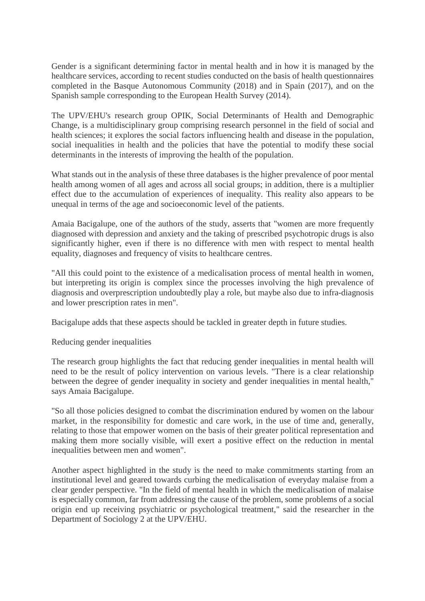Gender is a significant determining factor in mental health and in how it is managed by the healthcare services, according to recent studies conducted on the basis of health questionnaires completed in the Basque Autonomous Community (2018) and in Spain (2017), and on the Spanish sample corresponding to the European Health Survey (2014).

The UPV/EHU's research group OPIK, Social Determinants of Health and Demographic Change, is a multidisciplinary group comprising research personnel in the field of social and health sciences; it explores the social factors influencing health and disease in the population, social inequalities in health and the policies that have the potential to modify these social determinants in the interests of improving the health of the population.

What stands out in the analysis of these three databases is the higher prevalence of poor mental health among women of all ages and across all social groups; in addition, there is a multiplier effect due to the accumulation of experiences of inequality. This reality also appears to be unequal in terms of the age and socioeconomic level of the patients.

Amaia Bacigalupe, one of the authors of the study, asserts that "women are more frequently diagnosed with depression and anxiety and the taking of prescribed psychotropic drugs is also significantly higher, even if there is no difference with men with respect to mental health equality, diagnoses and frequency of visits to healthcare centres.

"All this could point to the existence of a medicalisation process of mental health in women, but interpreting its origin is complex since the processes involving the high prevalence of diagnosis and overprescription undoubtedly play a role, but maybe also due to infra-diagnosis and lower prescription rates in men".

Bacigalupe adds that these aspects should be tackled in greater depth in future studies.

Reducing gender inequalities

The research group highlights the fact that reducing gender inequalities in mental health will need to be the result of policy intervention on various levels. "There is a clear relationship between the degree of gender inequality in society and gender inequalities in mental health," says Amaia Bacigalupe.

"So all those policies designed to combat the discrimination endured by women on the labour market, in the responsibility for domestic and care work, in the use of time and, generally, relating to those that empower women on the basis of their greater political representation and making them more socially visible, will exert a positive effect on the reduction in mental inequalities between men and women".

Another aspect highlighted in the study is the need to make commitments starting from an institutional level and geared towards curbing the medicalisation of everyday malaise from a clear gender perspective. "In the field of mental health in which the medicalisation of malaise is especially common, far from addressing the cause of the problem, some problems of a social origin end up receiving psychiatric or psychological treatment," said the researcher in the Department of Sociology 2 at the UPV/EHU.